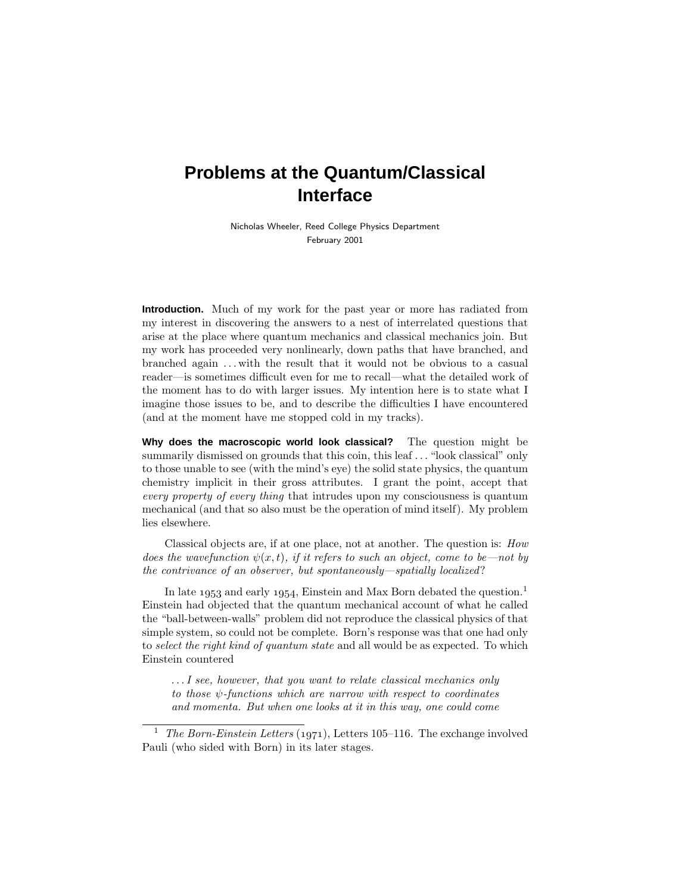# **Problems at the Quantum/Classical Interface**

Nicholas Wheeler, Reed College Physics Department February 2001

**Introduction.** Much of my work for the past year or more has radiated from my interest in discovering the answers to a nest of interrelated questions that arise at the place where quantum mechanics and classical mechanics join. But my work has proceeded very nonlinearly, down paths that have branched, and branched again *...* with the result that it would not be obvious to a casual reader—is sometimes difficult even for me to recall—what the detailed work of the moment has to do with larger issues. My intention here is to state what I imagine those issues to be, and to describe the difficulties I have encountered (and at the moment have me stopped cold in my tracks).

**Why does the macroscopic world look classical?** The question might be summarily dismissed on grounds that this coin, this leaf *...* "look classical" only to those unable to see (with the mind's eye) the solid state physics, the quantum chemistry implicit in their gross attributes. Igrant the point, accept that every property of every thing that intrudes upon my consciousness is quantum mechanical (and that so also must be the operation of mind itself). My problem lies elsewhere.

Classical objects are, if at one place, not at another. The question is: How does the wavefunction  $\psi(x, t)$ , if it refers to such an object, come to be—not by the contrivance of an observer, but spontaneously—spatially localized?

In late  $1953$  and early 1954, Einstein and Max Born debated the question.<sup>1</sup> Einstein had objected that the quantum mechanical account of what he called the "ball-between-walls" problem did not reproduce the classical physics of that simple system, so could not be complete. Born's response was that one had only to select the right kind of quantum state and all would be as expected. To which Einstein countered

*...*I see, however, that you want to relate classical mechanics only to those *ψ*-functions which are narrow with respect to coordinates and momenta. But when one looks at it in this way, one could come

<sup>&</sup>lt;sup>1</sup> The Born-Einstein Letters (1971), Letters 105–116. The exchange involved Pauli (who sided with Born) in its later stages.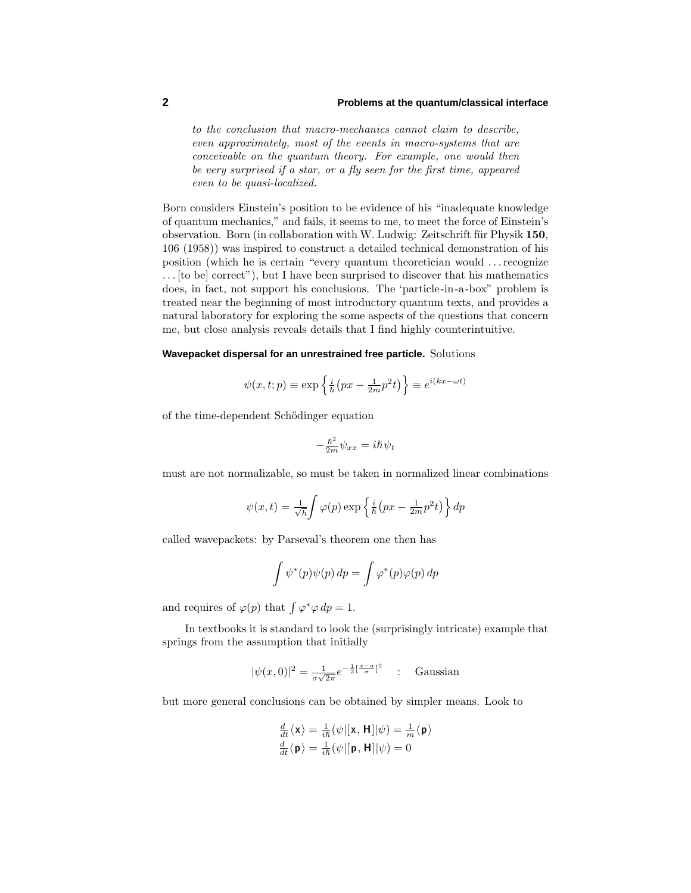# **2 Problems at the quantum/classical interface**

to the conclusion that macro-mechanics cannot claim to describe, even approximately, most of the events in macro-systems that are conceivable on the quantum theory. For example, one would then be very surprised if a star, or a fly seen for the first time, appeared even to be quasi-localized.

Born considers Einstein's position to be evidence of his "inadequate knowledge of quantum mechanics," and fails, it seems to me, to meet the force of Einstein's observation. Born (in collaboration with W. Ludwig: Zeitschrift für Physik 150, 106 (1958)) was inspired to construct a detailed technical demonstration of his position (which he is certain "every quantum theoretician would *...*recognize *...* [to be] correct"), but Ihave been surprised to discover that his mathematics does, in fact, not support his conclusions. The 'particle-in-a-box" problem is treated near the beginning of most introductory quantum texts, and provides a natural laboratory for exploring the some aspects of the questions that concern me, but close analysis reveals details that I find highly counterintuitive.

## **Wavepacket dispersal for an unrestrained free particle.** Solutions

$$
\psi(x, t; p) \equiv \exp\left\{\frac{i}{\hbar} \left(px - \frac{1}{2m}p^2t\right)\right\} \equiv e^{i(kx - \omega t)}
$$

of the time-dependent Schödinger equation

$$
-\frac{\hbar^2}{2m}\psi_{xx} = i\hbar\psi_t
$$

must are not normalizable, so must be taken in normalized linear combinations

$$
\psi(x,t) = \frac{1}{\sqrt{h}} \int \varphi(p) \exp\left\{\frac{i}{\hbar} \left(px - \frac{1}{2m}p^2t\right)\right\} dp
$$

called wavepackets: by Parseval's theorem one then has

$$
\int \psi^*(p)\psi(p) \, dp = \int \varphi^*(p)\varphi(p) \, dp
$$

and requires of  $\varphi(p)$  that  $\int \varphi^* \varphi \, dp = 1$ .

In textbooks it is standard to look the (surprisingly intricate) example that springs from the assumption that initially

$$
|\psi(x,0)|^2 = \frac{1}{\sigma\sqrt{2\pi}}e^{-\frac{1}{2}\left[\frac{x-a}{\sigma}\right]^2} \quad \text{. Gaussian}
$$

but more general conclusions can be obtained by simpler means. Look to

$$
\frac{\frac{d}{dt}\langle \mathbf{x} \rangle = \frac{1}{i\hbar}(\psi|[\mathbf{x}, \mathbf{H}]|\psi) = \frac{1}{m}\langle \mathbf{p} \rangle}{\frac{d}{dt}\langle \mathbf{p} \rangle = \frac{1}{i\hbar}(\psi|[\mathbf{p}, \mathbf{H}]|\psi) = 0}
$$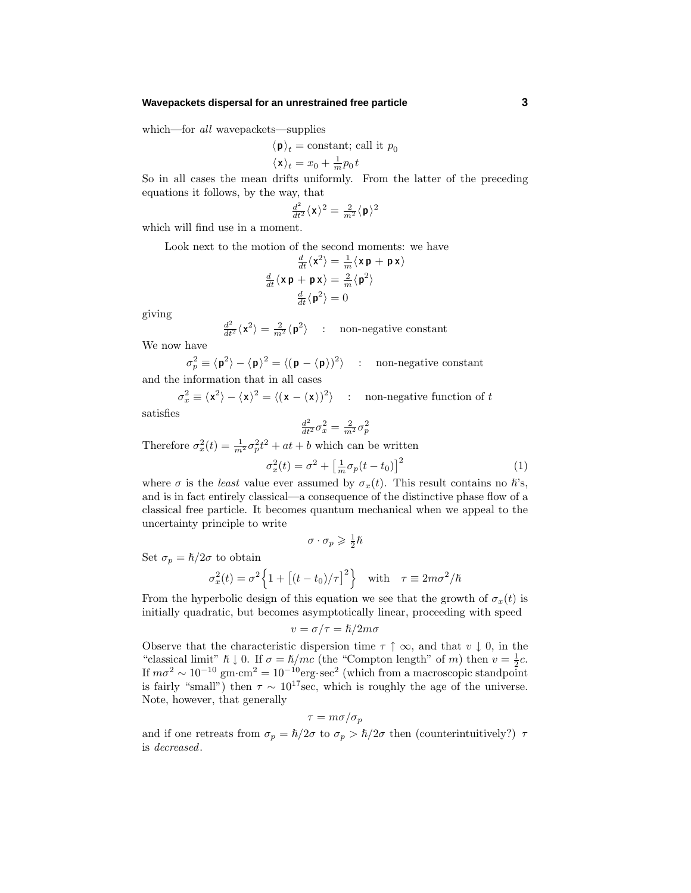#### **Wavepackets dispersal for an unrestrained free particle 3**

which—for all wavepackets—supplies

$$
\langle \mathbf{p} \rangle_t = \text{constant; call it } p_0
$$
  
 $\langle \mathbf{x} \rangle_t = x_0 + \frac{1}{m} p_0 t$ 

So in all cases the mean drifts uniformly. From the latter of the preceding equations it follows, by the way, that

$$
\tfrac{d^2}{dt^2}\langle \mathbf{x}\rangle^2=\tfrac{2}{m^2}\langle \mathbf{p}\rangle^2
$$

which will find use in a moment.

Look next to the motion of the second moments: we have

$$
\frac{\frac{d}{dt}\langle \mathbf{x}^2 \rangle = \frac{1}{m}\langle \mathbf{x} \, \mathbf{p} + \mathbf{p} \, \mathbf{x} \rangle}{\frac{d}{dt}\langle \mathbf{x} \, \mathbf{p} + \mathbf{p} \, \mathbf{x} \rangle} = \frac{2}{m}\langle \mathbf{p}^2 \rangle
$$
\n
$$
\frac{d}{dt}\langle \mathbf{p}^2 \rangle = 0
$$

giving

$$
\frac{d^2}{dt^2} \langle \mathbf{x}^2 \rangle = \frac{2}{m^2} \langle \mathbf{p}^2 \rangle \quad : \quad \text{non-negative constant}
$$

We now have

 $\sigma_p^2 \equiv \langle \mathbf{p}^2 \rangle - \langle \mathbf{p} \rangle^2 = \langle (\mathbf{p} - \langle \mathbf{p} \rangle)^2 \rangle$  : non-negative constant and the information that in all cases

$$
\sigma_x^2 \equiv \langle \mathbf{x}^2 \rangle - \langle \mathbf{x} \rangle^2 = \langle (\mathbf{x} - \langle \mathbf{x} \rangle)^2 \rangle \quad : \quad \text{non-negative function of } t
$$

satisfies

$$
\tfrac{d^2}{dt^2}\sigma_x^2 = \tfrac{2}{m^2}\sigma_p^2
$$

Therefore  $\sigma_x^2(t) = \frac{1}{m^2} \sigma_p^2 t^2 + at + b$  which can be written

$$
\sigma_x^2(t) = \sigma^2 + \left[\frac{1}{m}\sigma_p(t - t_0)\right]^2 \tag{1}
$$

where  $\sigma$  is the *least* value ever assumed by  $\sigma_x(t)$ . This result contains no  $\hbar$ 's, and is in fact entirely classical—a consequence of the distinctive phase flow of a classical free particle. It becomes quantum mechanical when we appeal to the uncertainty principle to write

$$
\sigma\cdot\sigma_p\geqslant\tfrac{1}{2}\hslash
$$

Set  $\sigma_p = \hbar/2\sigma$  to obtain

$$
\sigma_x^2(t) = \sigma^2 \left\{ 1 + \left[ (t - t_0) / \tau \right]^2 \right\} \quad \text{with} \quad \tau \equiv 2m\sigma^2 / \hbar
$$

From the hyperbolic design of this equation we see that the growth of  $\sigma_x(t)$  is initially quadratic, but becomes asymptotically linear, proceeding with speed

$$
v = \sigma/\tau = \hslash/2m\sigma
$$

Observe that the characteristic dispersion time  $\tau \uparrow \infty$ , and that  $v \downarrow 0$ , in the "classical limit"  $\hbar \downarrow 0$ . If  $\sigma = \hbar/mc$  (the "Compton length" of *m*) then  $v = \frac{1}{2}c$ . If  $m\sigma^2 \sim 10^{-10}$  gm·cm<sup>2</sup> =  $10^{-10}$ erg·sec<sup>2</sup> (which from a macroscopic standpoint is fairly "small") then  $\tau \sim 10^{17}$  sec, which is roughly the age of the universe. Note, however, that generally

$$
\tau = m \sigma / \sigma_p
$$

and if one retreats from  $\sigma_p = \hbar/2\sigma$  to  $\sigma_p > \hbar/2\sigma$  then (counterintuitively?)  $\tau$ is decreased.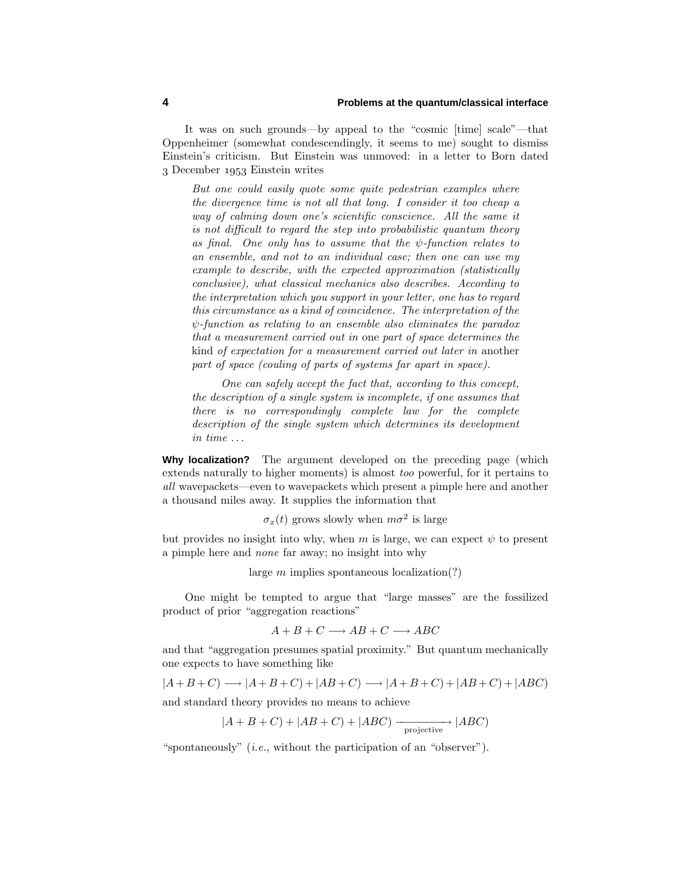It was on such grounds—by appeal to the "cosmic [time] scale"—that Oppenheimer (somewhat condescendingly, it seems to me) sought to dismiss Einstein's criticism. But Einstein was unmoved: in a letter to Born dated 3 December 1953 Einstein writes

But one could easily quote some quite pedestrian examples where the divergence time is not all that long.I consider it too cheap a way of calming down one's scientific conscience. All the same it is not difficult to regard the step into probabilistic quantum theory as final. One only has to assume that the  $\psi$ -function relates to an ensemble, and not to an individual case; then one can use my example to describe, with the expected approximation (statistically conclusive), what classical mechanics also describes. According to the interpretation which you support in your letter, one has to regard this circumstance as a kind of coincidence.The interpretation of the *ψ*-function as relating to an ensemble also eliminates the paradox that a measurement carried out in one part of space determines the kind of expectation for a measurement carried out later in another part of space (couling of parts of systems far apart in space).

One can safely accept the fact that, according to this concept, the description of a single system is incomplete, if one assumes that there is no correspondingly complete law for the complete description of the single system which determines its development in time *...*

**Why localization?** The argument developed on the preceding page (which extends naturally to higher moments) is almost too powerful, for it pertains to all wavepackets—even to wavepackets which present a pimple here and another a thousand miles away. It supplies the information that

 $\sigma_x(t)$  grows slowly when  $m\sigma^2$  is large

but provides no insight into why, when  $m$  is large, we can expect  $\psi$  to present a pimple here and none far away; no insight into why

large *m* implies spontaneous localization(?)

One might be tempted to argue that "large masses" are the fossilized product of prior "aggregation reactions"

$$
A + B + C \longrightarrow AB + C \longrightarrow ABC
$$

and that "aggregation presumes spatial proximity." But quantum mechanically one expects to have something like

$$
|A+B+C)\longrightarrow |A+B+C)+|AB+C)\longrightarrow |A+B+C)+|AB+C)+|ABC)
$$

and standard theory provides no means to achieve

$$
|A+B+C)+|AB+C)+|ABC)\xrightarrow[\text{projective}]{} |ABC)
$$

"spontaneously" (i.e., without the participation of an "observer").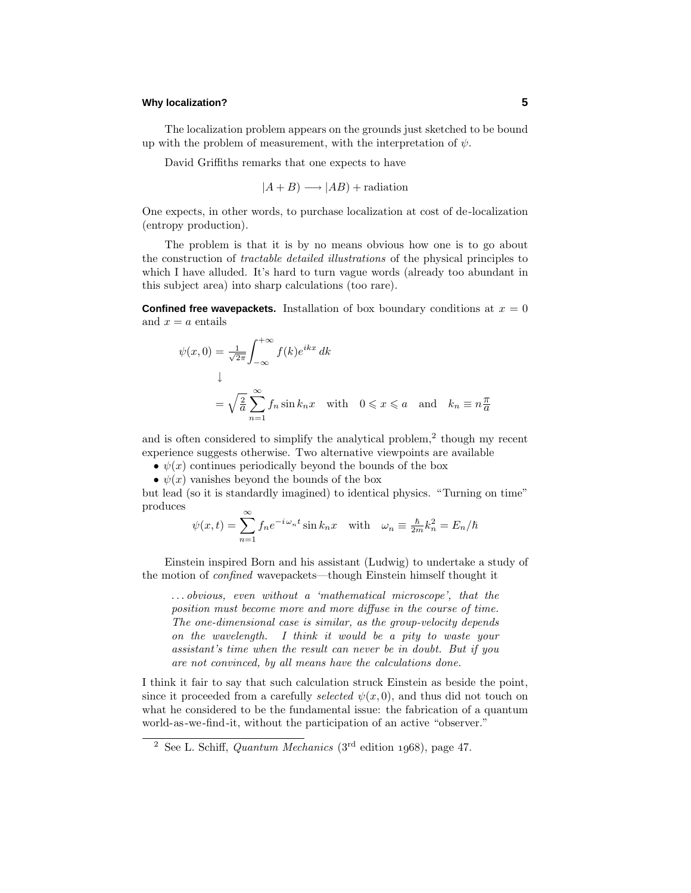# **Why localization? 5**

The localization problem appears on the grounds just sketched to be bound up with the problem of measurement, with the interpretation of  $\psi$ .

David Griffiths remarks that one expects to have

$$
|A + B) \longrightarrow |AB) +
$$
radiation

One expects, in other words, to purchase localization at cost of de-localization (entropy production).

The problem is that it is by no means obvious how one is to go about the construction of tractable detailed illustrations of the physical principles to which I have alluded. It's hard to turn vague words (already too abundant in this subject area) into sharp calculations (too rare).

**Confined free wavepackets.** Installation of box boundary conditions at  $x = 0$ and  $x = a$  entails

$$
\psi(x,0) = \frac{1}{\sqrt{2\pi}} \int_{-\infty}^{+\infty} f(k)e^{ikx} dk
$$
  
\n
$$
\downarrow
$$
  
\n
$$
= \sqrt{\frac{2}{a}} \sum_{n=1}^{\infty} f_n \sin k_n x \quad \text{with} \quad 0 \le x \le a \quad \text{and} \quad k_n \equiv n \frac{\pi}{a}
$$

and is often considered to simplify the analytical problem, $<sup>2</sup>$  though my recent</sup> experience suggests otherwise. Two alternative viewpoints are available

- $\psi(x)$  continues periodically beyond the bounds of the box
- $\psi(x)$  vanishes beyond the bounds of the box

but lead (so it is standardly imagined) to identical physics. "Turning on time" produces

$$
\psi(x,t) = \sum_{n=1}^{\infty} f_n e^{-i\omega_n t} \sin k_n x \quad \text{with} \quad \omega_n \equiv \frac{\hbar}{2m} k_n^2 = E_n/\hbar
$$

Einstein inspired Born and his assistant (Ludwig) to undertake a study of the motion of confined wavepackets—though Einstein himself thought it

*...* obvious, even without a 'mathematical microscope', that the position must become more and more diffuse in the course of time. The one-dimensional case is similar, as the group-velocity depends on the wavelength.I think it would be a pity to waste your assistant's time when the result can never be in doubt. But if you are not convinced, by all means have the calculations done.

Ithink it fair to say that such calculation struck Einstein as beside the point, since it proceeded from a carefully *selected*  $\psi(x, 0)$ , and thus did not touch on what he considered to be the fundamental issue: the fabrication of a quantum world-as-we-find-it, without the participation of an active "observer."

<sup>&</sup>lt;sup>2</sup> See L. Schiff, *Quantum Mechanics* ( $3<sup>rd</sup>$  edition 1968), page 47.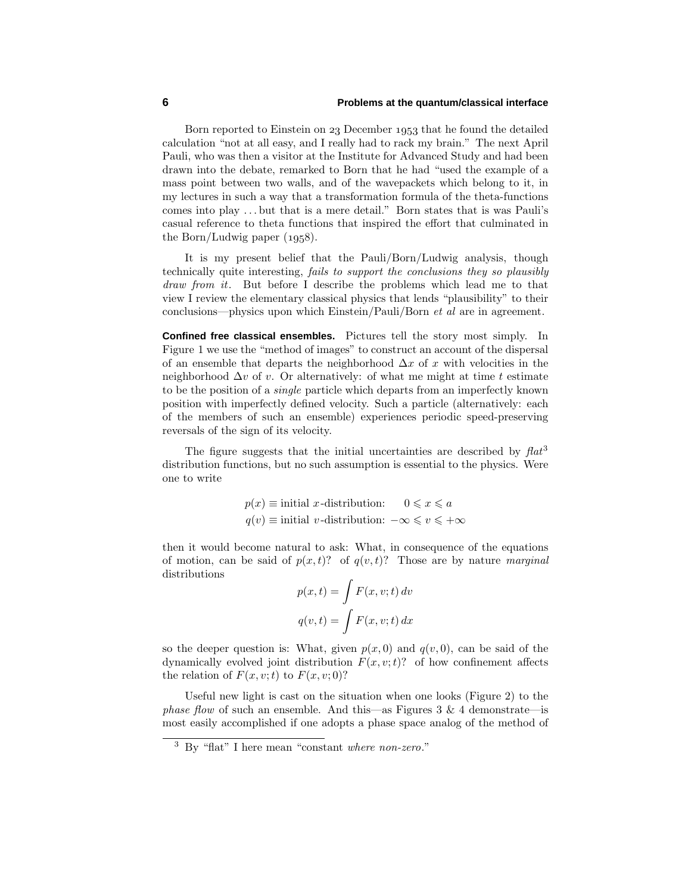## **6 Problems at the quantum/classical interface**

Born reported to Einstein on 23 December 1953 that he found the detailed calculation "not at all easy, and Ireally had to rack my brain." The next April Pauli, who was then a visitor at the Institute for Advanced Study and had been drawn into the debate, remarked to Born that he had "used the example of a mass point between two walls, and of the wavepackets which belong to it, in my lectures in such a way that a transformation formula of the theta-functions comes into play *...* but that is a mere detail." Born states that is was Pauli's casual reference to theta functions that inspired the effort that culminated in the Born/Ludwig paper  $(1958)$ .

It is my present belief that the Pauli/Born/Ludwig analysis, though technically quite interesting, fails to support the conclusions they so plausibly  $draw from it.$  But before I describe the problems which lead me to that view I review the elementary classical physics that lends "plausibility" to their conclusions—physics upon which Einstein/Pauli/Born et al are in agreement.

**Confined free classical ensembles.** Pictures tell the story most simply. In Figure 1 we use the "method of images" to construct an account of the dispersal of an ensemble that departs the neighborhood ∆*x* of *x* with velocities in the neighborhood ∆*v* of *v*. Or alternatively: of what me might at time *t* estimate to be the position of a *single* particle which departs from an imperfectly known position with imperfectly defined velocity. Such a particle (alternatively: each of the members of such an ensemble) experiences periodic speed-preserving reversals of the sign of its velocity.

The figure suggests that the initial uncertainties are described by  $flat<sup>3</sup>$ distribution functions, but no such assumption is essential to the physics. Were one to write

$$
p(x) \equiv \text{initial } x\text{-distribution:} \quad 0 \leq x \leq a
$$

$$
q(v) \equiv \text{initial } v\text{-distribution: } -\infty \leq v \leq +\infty
$$

then it would become natural to ask: What, in consequence of the equations of motion, can be said of  $p(x, t)$ ? of  $q(v, t)$ ? Those are by nature marginal distributions

$$
p(x,t) = \int F(x, v; t) dv
$$

$$
q(v,t) = \int F(x, v; t) dx
$$

so the deeper question is: What, given  $p(x, 0)$  and  $q(v, 0)$ , can be said of the dynamically evolved joint distribution  $F(x, v; t)$ ? of how confinement affects the relation of  $F(x, v; t)$  to  $F(x, v; 0)$ ?

Useful new light is cast on the situation when one looks (Figure 2) to the *phase flow* of such an ensemble. And this—as Figures 3 & 4 demonstrate—is most easily accomplished if one adopts a phase space analog of the method of

<sup>3</sup> By "flat" Ihere mean "constant where non-zero."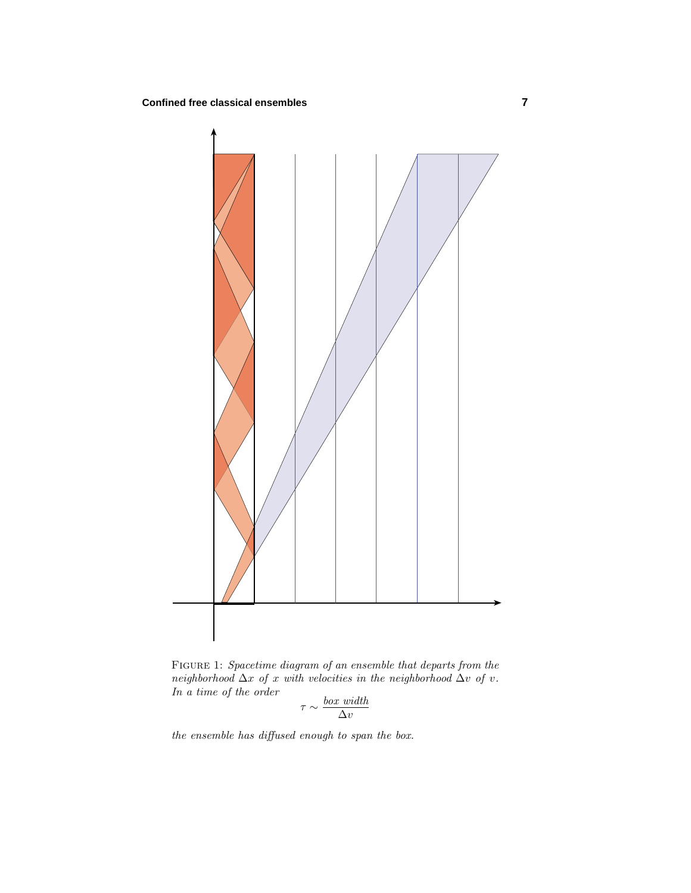

Figure 1: Spacetime diagram of an ensemble that departs from the neighborhood  $\Delta x$  of *x* with velocities in the neighborhood  $\Delta v$  of *v*. In a time of the order

$$
\tau \sim \frac{box \; width}{\Delta v}
$$

the ensemble has diffused enough to span the box.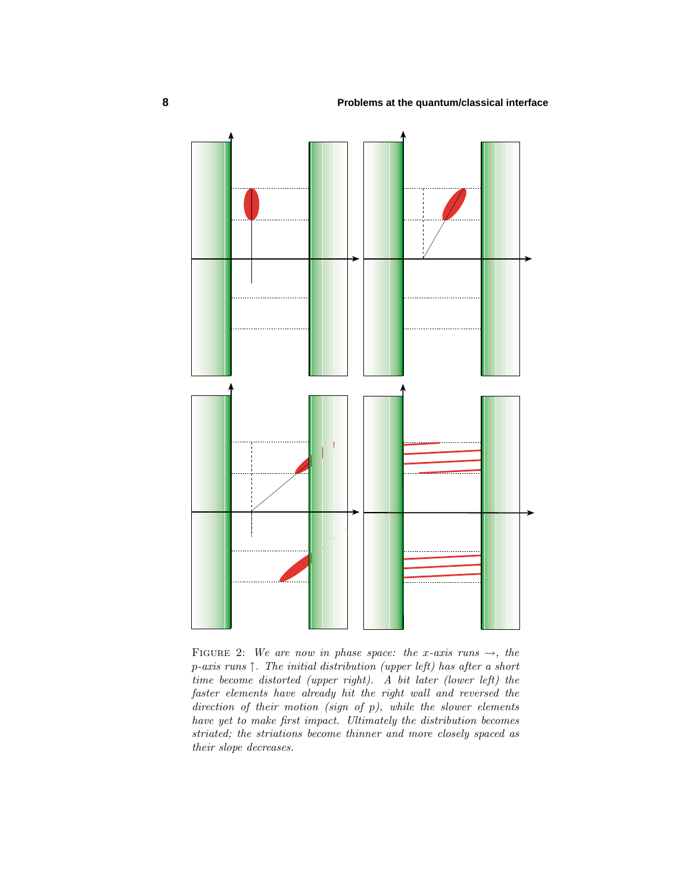

FIGURE 2: We are now in phase space: the *x*-axis runs  $\rightarrow$ , the *p*-axis runs  $\uparrow$ . The initial distribution (upper left) has after a short time become distorted (upper right). A bit later (lower left) the faster elements have already hit the right wall and reversed the direction of their motion (sign of *p*), while the slower elements have yet to make first impact. Ultimately the distribution becomes striated; the striations become thinner and more closely spaced as their slope decreases.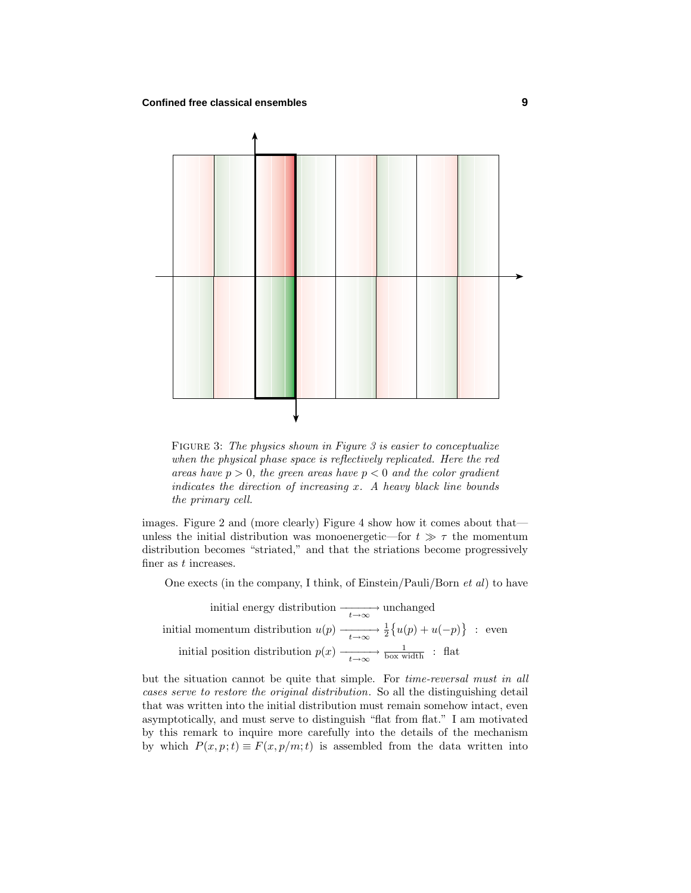

FIGURE 3: The physics shown in Figure 3 is easier to conceptualize when the physical phase space is reflectively replicated. Here the red areas have  $p > 0$ , the green areas have  $p < 0$  and the color gradient indicates the direction of increasing  $x$ . A heavy black line bounds the primary cell.

images. Figure 2 and (more clearly) Figure 4 show how it comes about that unless the initial distribution was monoenergetic—for  $t \gg \tau$  the momentum distribution becomes "striated," and that the striations become progressively finer as *t* increases.

One exects (in the company, I think, of Einstein/Pauli/Born  $et \, al$ ) to have

initial energy distribution −−−−−→ *<sup>t</sup>*→∞ unchanged initial momentum distribution  $u(p) \xrightarrow[t \to \infty]{} \frac{1}{2} \{u(p) + u(-p)\}$  : even initial position distribution  $p(x) \longrightarrow_{t \to \infty} \frac{1}{\text{box width}}$  : flat

but the situation cannot be quite that simple. For time-reversal must in all cases serve to restore the original distribution. So all the distinguishing detail that was written into the initial distribution must remain somehow intact, even asymptotically, and must serve to distinguish "flat from flat." Iam motivated by this remark to inquire more carefully into the details of the mechanism by which  $P(x, p; t) \equiv F(x, p/m; t)$  is assembled from the data written into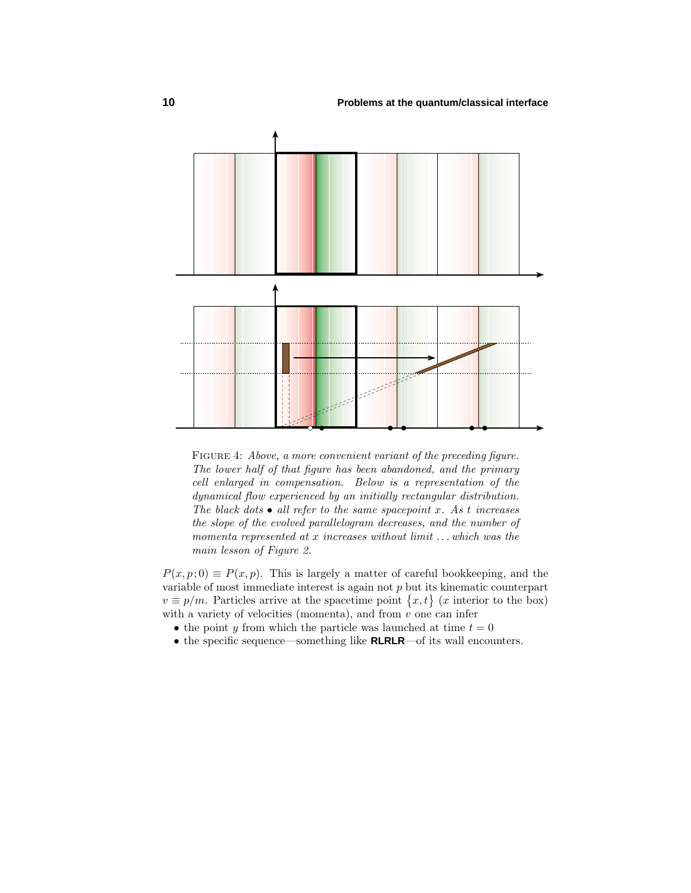

FIGURE 4: Above, a more convenient variant of the preceding figure. The lower half of that figure has been abandoned, and the primary cell enlarged in compensation.Below is a representation of the dynamical flow experienced by an initially rectangular distribution. The black dots  $\bullet$  all refer to the same spacepoint x. As t increases the slope of the evolved parallelogram decreases, and the number of momenta represented at *x* increases without limit *...*which was the main lesson of Figure 2.

 $P(x, p; 0) \equiv P(x, p)$ . This is largely a matter of careful bookkeeping, and the variable of most immediate interest is again not *p* but its kinematic counterpart  $v \equiv p/m$ . Particles arrive at the spacetime point  $\{x, t\}$  (*x* interior to the box) with a variety of velocities (momenta), and from *v* one can infer

- the point *y* from which the particle was launched at time  $t = 0$
- the specific sequence—something like **RLRLR**—of its wall encounters.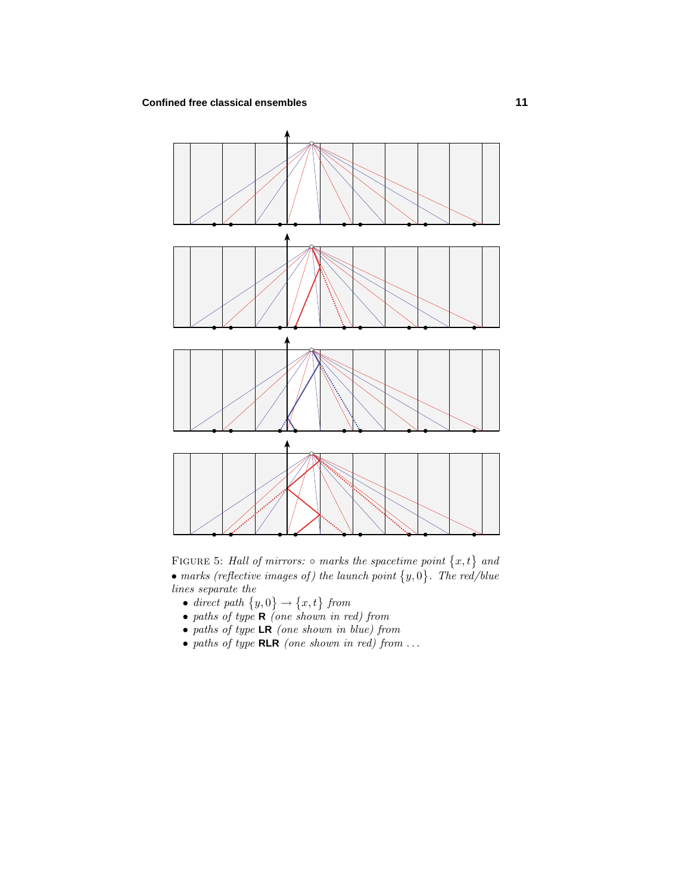

FIGURE 5: Hall of mirrors:  $\circ$  marks the spacetime point  $\{x, t\}$  and • marks (reflective images of) the launch point  $\{y, 0\}$ . The red/blue lines separate the

- direct path  $\{y,0\} \rightarrow \{x,t\}$  from
- paths of type **<sup>R</sup>** (one shown in red) from
- paths of type **LR** (one shown in blue) from
- paths of type **RLR** (one shown in red) from *...*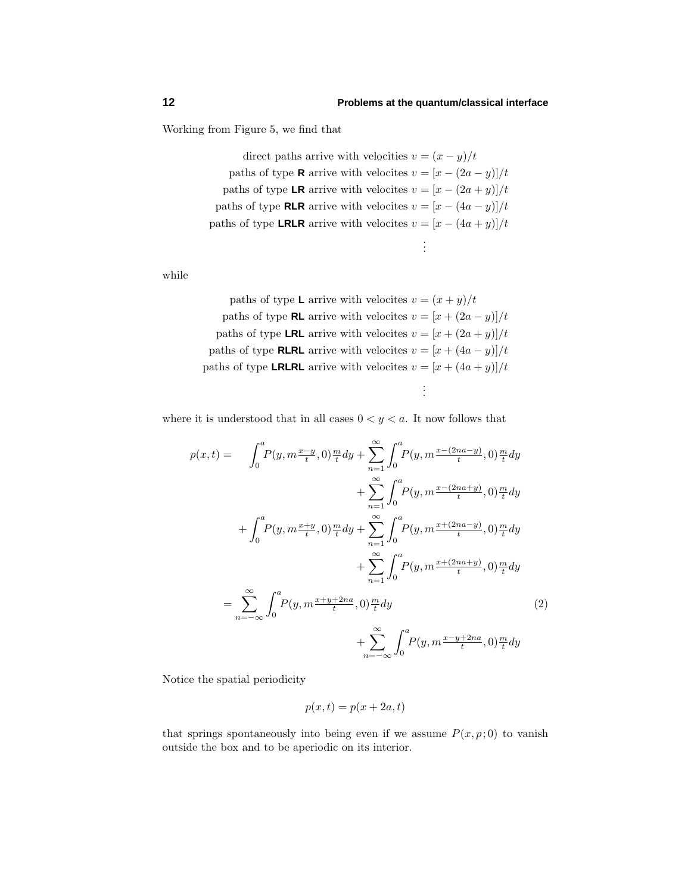. . .

Working from Figure 5, we find that

direct paths arrive with velocities  $v = (x - y)/t$ paths of type **R** arrive with velocites  $v = [x - (2a - y)]/t$ paths of type **LR** arrive with velocites  $v = [x - (2a + y)]/t$ paths of type **RLR** arrive with velocites  $v = [x - (4a - y)]/t$ paths of type **LRLR** arrive with velocites  $v = [x - (4a + y)]/t$ 

while

paths of type **L** arrive with velocites  $v = (x + y)/t$ paths of type **RL** arrive with velocites  $v = [x + (2a - y)]/t$ paths of type **LRL** arrive with velocites  $v = [x + (2a + y)]/t$ paths of type **RLRL** arrive with velocites  $v = [x + (4a - y)]/t$ paths of type **LRLRL** arrive with velocites  $v = [x + (4a + y)]/t$ . . .

where it is understood that in all cases  $0 < y < a$ . It now follows that

$$
p(x,t) = \int_0^a P(y, m^{\frac{x-y}{t}}, 0) \frac{m}{t} dy + \sum_{n=1}^{\infty} \int_0^a P(y, m^{\frac{x-(2na-y)}{t}}, 0) \frac{m}{t} dy
$$
  
+ 
$$
\sum_{n=1}^{\infty} \int_0^a P(y, m^{\frac{x-(2na+y)}{t}}, 0) \frac{m}{t} dy
$$
  
+ 
$$
\int_0^a P(y, m^{\frac{x+y}{t}}, 0) \frac{m}{t} dy + \sum_{n=1}^{\infty} \int_0^a P(y, m^{\frac{x+(2na-y)}{t}}, 0) \frac{m}{t} dy
$$
  
+ 
$$
\sum_{n=1}^{\infty} \int_0^a P(y, m^{\frac{x+(2na+y)}{t}}, 0) \frac{m}{t} dy
$$
  
= 
$$
\sum_{n=-\infty}^{\infty} \int_0^a P(y, m^{\frac{x+y+2na}{t}}, 0) \frac{m}{t} dy
$$
  
+ 
$$
\sum_{n=-\infty}^{\infty} \int_0^a P(y, m^{\frac{x-y+2na}{t}}, 0) \frac{m}{t} dy
$$
  
(2)

Notice the spatial periodicity

$$
p(x,t) = p(x + 2a, t)
$$

that springs spontaneously into being even if we assume  $P(x, p; 0)$  to vanish outside the box and to be aperiodic on its interior.